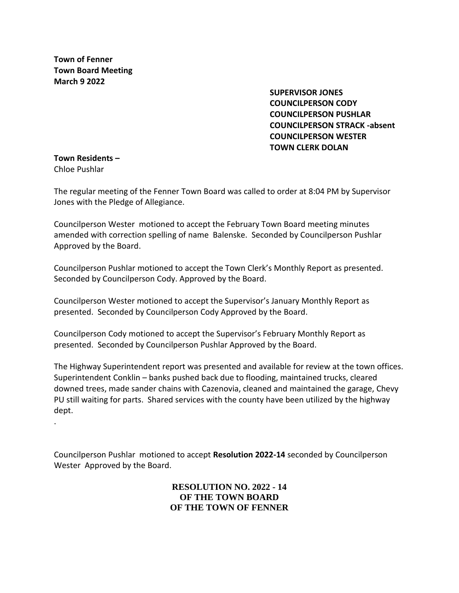**Town of Fenner Town Board Meeting March 9 2022**

> **SUPERVISOR JONES COUNCILPERSON CODY COUNCILPERSON PUSHLAR COUNCILPERSON STRACK -absent COUNCILPERSON WESTER TOWN CLERK DOLAN**

#### **Town Residents –** Chloe Pushlar

.

The regular meeting of the Fenner Town Board was called to order at 8:04 PM by Supervisor Jones with the Pledge of Allegiance.

Councilperson Wester motioned to accept the February Town Board meeting minutes amended with correction spelling of name Balenske. Seconded by Councilperson Pushlar Approved by the Board.

Councilperson Pushlar motioned to accept the Town Clerk's Monthly Report as presented. Seconded by Councilperson Cody. Approved by the Board.

Councilperson Wester motioned to accept the Supervisor's January Monthly Report as presented. Seconded by Councilperson Cody Approved by the Board.

Councilperson Cody motioned to accept the Supervisor's February Monthly Report as presented. Seconded by Councilperson Pushlar Approved by the Board.

The Highway Superintendent report was presented and available for review at the town offices. Superintendent Conklin – banks pushed back due to flooding, maintained trucks, cleared downed trees, made sander chains with Cazenovia, cleaned and maintained the garage, Chevy PU still waiting for parts. Shared services with the county have been utilized by the highway dept.

Councilperson Pushlar motioned to accept **Resolution 2022-14** seconded by Councilperson Wester Approved by the Board.

> **RESOLUTION NO. 2022 - 14 OF THE TOWN BOARD OF THE TOWN OF FENNER**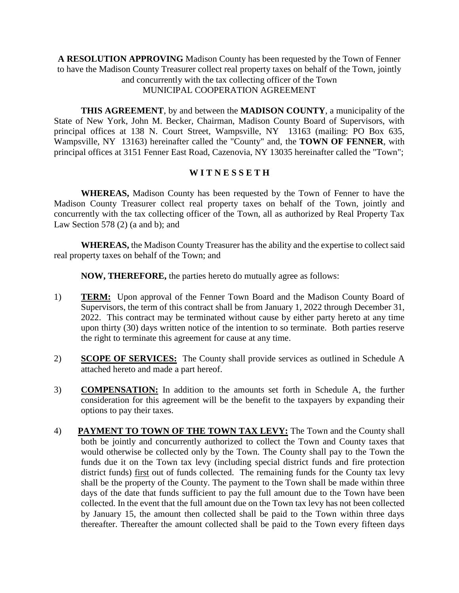**A RESOLUTION APPROVING** Madison County has been requested by the Town of Fenner to have the Madison County Treasurer collect real property taxes on behalf of the Town, jointly and concurrently with the tax collecting officer of the Town MUNICIPAL COOPERATION AGREEMENT

**THIS AGREEMENT**, by and between the **MADISON COUNTY**, a municipality of the State of New York, John M. Becker, Chairman, Madison County Board of Supervisors, with principal offices at 138 N. Court Street, Wampsville, NY 13163 (mailing: PO Box 635, Wampsville, NY 13163) hereinafter called the "County" and, the **TOWN OF FENNER**, with principal offices at 3151 Fenner East Road, Cazenovia, NY 13035 hereinafter called the "Town";

# **W I T N E S S E T H**

**WHEREAS,** Madison County has been requested by the Town of Fenner to have the Madison County Treasurer collect real property taxes on behalf of the Town, jointly and concurrently with the tax collecting officer of the Town, all as authorized by Real Property Tax Law Section 578 (2) (a and b); and

**WHEREAS,** the Madison County Treasurer has the ability and the expertise to collect said real property taxes on behalf of the Town; and

**NOW, THEREFORE,** the parties hereto do mutually agree as follows:

- 1) **TERM:** Upon approval of the Fenner Town Board and the Madison County Board of Supervisors, the term of this contract shall be from January 1, 2022 through December 31, 2022. This contract may be terminated without cause by either party hereto at any time upon thirty (30) days written notice of the intention to so terminate. Both parties reserve the right to terminate this agreement for cause at any time.
- 2) **SCOPE OF SERVICES:** The County shall provide services as outlined in Schedule A attached hereto and made a part hereof.
- 3) **COMPENSATION:** In addition to the amounts set forth in Schedule A, the further consideration for this agreement will be the benefit to the taxpayers by expanding their options to pay their taxes.
- 4) **PAYMENT TO TOWN OF THE TOWN TAX LEVY:** The Town and the County shall both be jointly and concurrently authorized to collect the Town and County taxes that would otherwise be collected only by the Town. The County shall pay to the Town the funds due it on the Town tax levy (including special district funds and fire protection district funds) first out of funds collected. The remaining funds for the County tax levy shall be the property of the County. The payment to the Town shall be made within three days of the date that funds sufficient to pay the full amount due to the Town have been collected. In the event that the full amount due on the Town tax levy has not been collected by January 15, the amount then collected shall be paid to the Town within three days thereafter. Thereafter the amount collected shall be paid to the Town every fifteen days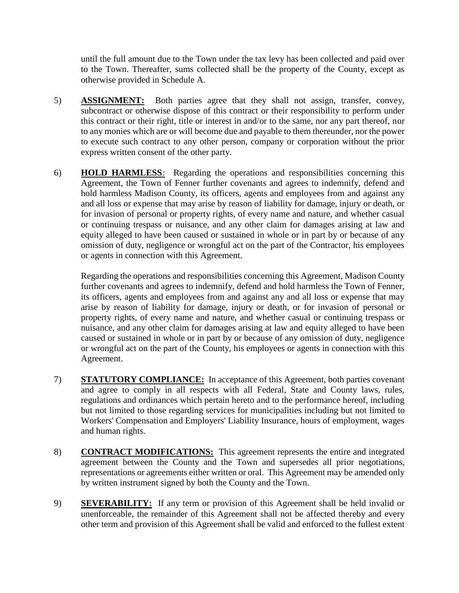until the full amount due to the Town under the tax levy has been collected and paid over to the Town. Thereafter, sums collected shall be the property of the County, except as otherwise provided in Schedule A.

- 5) **ASSIGNMENT:** Both parties agree that they shall not assign, transfer, convey, subcontract or otherwise dispose of this contract or their responsibility to perform under this contract or their right, title or interest in and/or to the same, nor any part thereof, nor to any monies which are or will become due and payable to them thereunder, nor the power to execute such contract to any other person, company or corporation without the prior express written consent of the other party.
- 6) **HOLD HARMLESS***:* Regarding the operations and responsibilities concerning this Agreement, the Town of Fenner further covenants and agrees to indemnify, defend and hold harmless Madison County, its officers, agents and employees from and against any and all loss or expense that may arise by reason of liability for damage, injury or death, or for invasion of personal or property rights, of every name and nature, and whether casual or continuing trespass or nuisance, and any other claim for damages arising at law and equity alleged to have been caused or sustained in whole or in part by or because of any omission of duty, negligence or wrongful act on the part of the Contractor, his employees or agents in connection with this Agreement.

Regarding the operations and responsibilities concerning this Agreement, Madison County further covenants and agrees to indemnify, defend and hold harmless the Town of Fenner, its officers, agents and employees from and against any and all loss or expense that may arise by reason of liability for damage, injury or death, or for invasion of personal or property rights, of every name and nature, and whether casual or continuing trespass or nuisance, and any other claim for damages arising at law and equity alleged to have been caused or sustained in whole or in part by or because of any omission of duty, negligence or wrongful act on the part of the County, his employees or agents in connection with this Agreement.

- 7) **STATUTORY COMPLIANCE:** In acceptance of this Agreement, both parties covenant and agree to comply in all respects with all Federal, State and County laws, rules, regulations and ordinances which pertain hereto and to the performance hereof, including but not limited to those regarding services for municipalities including but not limited to Workers' Compensation and Employers' Liability Insurance, hours of employment, wages and human rights.
- 8) **CONTRACT MODIFICATIONS:** This agreement represents the entire and integrated agreement between the County and the Town and supersedes all prior negotiations, representations or agreements either written or oral. This Agreement may be amended only by written instrument signed by both the County and the Town.
- 9) **SEVERABILITY:** If any term or provision of this Agreement shall be held invalid or unenforceable, the remainder of this Agreement shall not be affected thereby and every other term and provision of this Agreement shall be valid and enforced to the fullest extent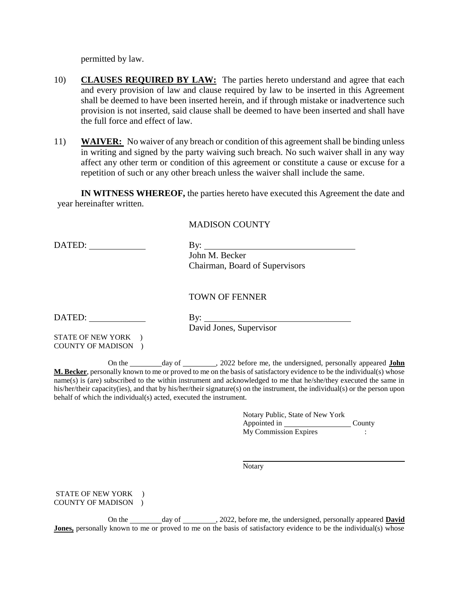permitted by law.

- 10) **CLAUSES REQUIRED BY LAW:** The parties hereto understand and agree that each and every provision of law and clause required by law to be inserted in this Agreement shall be deemed to have been inserted herein, and if through mistake or inadvertence such provision is not inserted, said clause shall be deemed to have been inserted and shall have the full force and effect of law.
- 11) **WAIVER:** No waiver of any breach or condition of this agreement shall be binding unless in writing and signed by the party waiving such breach. No such waiver shall in any way affect any other term or condition of this agreement or constitute a cause or excuse for a repetition of such or any other breach unless the waiver shall include the same.

**IN WITNESS WHEREOF,** the parties hereto have executed this Agreement the date and year hereinafter written.

### MADISON COUNTY

DATED: By: By: John M. Becker Chairman, Board of Supervisors

#### TOWN OF FENNER

DATED: By:

David Jones, Supervisor

STATE OF NEW YORK ) COUNTY OF MADISON )

On the day of , 2022 before me, the undersigned, personally appeared **John M. Becker**, personally known to me or proved to me on the basis of satisfactory evidence to be the individual(s) whose name(s) is (are) subscribed to the within instrument and acknowledged to me that he/she/they executed the same in his/her/their capacity(ies), and that by his/her/their signature(s) on the instrument, the individual(s) or the person upon behalf of which the individual(s) acted, executed the instrument.

> Notary Public, State of New York Appointed in County My Commission Expires :

Notary

STATE OF NEW YORK ) COUNTY OF MADISON )

On the \_\_\_\_\_\_\_\_ day of \_\_\_\_\_\_\_\_, 2022, before me, the undersigned, personally appeared **David Jones,** personally known to me or proved to me on the basis of satisfactory evidence to be the individual(s) whose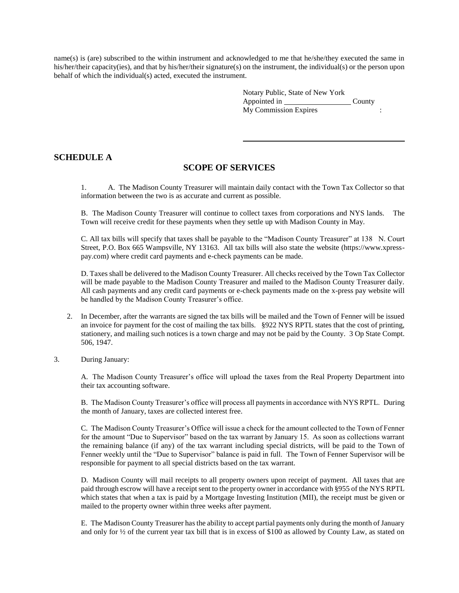name(s) is (are) subscribed to the within instrument and acknowledged to me that he/she/they executed the same in his/her/their capacity(ies), and that by his/her/their signature(s) on the instrument, the individual(s) or the person upon behalf of which the individual(s) acted, executed the instrument.

| Notary Public, State of New York |        |  |
|----------------------------------|--------|--|
| Appointed in                     | County |  |
| My Commission Expires            |        |  |

### **SCHEDULE A**

### **SCOPE OF SERVICES**

1. A. The Madison County Treasurer will maintain daily contact with the Town Tax Collector so that information between the two is as accurate and current as possible.

B. The Madison County Treasurer will continue to collect taxes from corporations and NYS lands. The Town will receive credit for these payments when they settle up with Madison County in May.

C. All tax bills will specify that taxes shall be payable to the "Madison County Treasurer" at 138 N. Court Street, P.O. Box 665 Wampsville, NY 13163. All tax bills will also state the website (https://www.xpresspay.com) where credit card payments and e-check payments can be made.

D. Taxes shall be delivered to the Madison County Treasurer. All checks received by the Town Tax Collector will be made payable to the Madison County Treasurer and mailed to the Madison County Treasurer daily. All cash payments and any credit card payments or e-check payments made on the x-press pay website will be handled by the Madison County Treasurer's office.

- 2. In December, after the warrants are signed the tax bills will be mailed and the Town of Fenner will be issued an invoice for payment for the cost of mailing the tax bills. §922 NYS RPTL states that the cost of printing, stationery, and mailing such notices is a town charge and may not be paid by the County. 3 Op State Compt. 506, 1947.
- 3. During January:

A. The Madison County Treasurer's office will upload the taxes from the Real Property Department into their tax accounting software.

B. The Madison County Treasurer's office will process all payments in accordance with NYS RPTL. During the month of January, taxes are collected interest free.

C. The Madison County Treasurer's Office will issue a check for the amount collected to the Town of Fenner for the amount "Due to Supervisor" based on the tax warrant by January 15. As soon as collections warrant the remaining balance (if any) of the tax warrant including special districts, will be paid to the Town of Fenner weekly until the "Due to Supervisor" balance is paid in full. The Town of Fenner Supervisor will be responsible for payment to all special districts based on the tax warrant.

D. Madison County will mail receipts to all property owners upon receipt of payment. All taxes that are paid through escrow will have a receipt sent to the property owner in accordance with §955 of the NYS RPTL which states that when a tax is paid by a Mortgage Investing Institution (MII), the receipt must be given or mailed to the property owner within three weeks after payment.

E. The Madison County Treasurer has the ability to accept partial payments only during the month of January and only for ½ of the current year tax bill that is in excess of \$100 as allowed by County Law, as stated on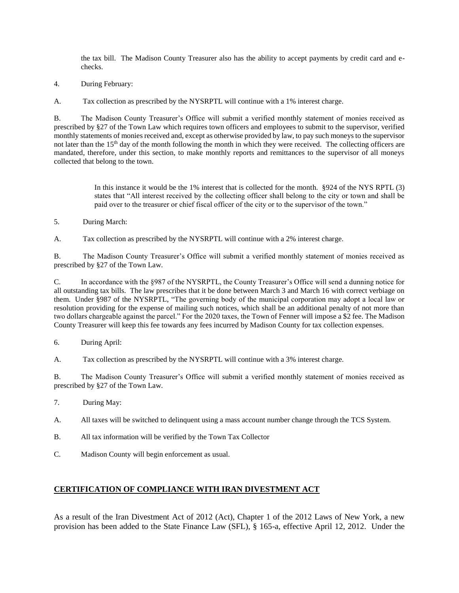the tax bill. The Madison County Treasurer also has the ability to accept payments by credit card and echecks.

4. During February:

A. Tax collection as prescribed by the NYSRPTL will continue with a 1% interest charge.

B. The Madison County Treasurer's Office will submit a verified monthly statement of monies received as prescribed by §27 of the Town Law which requires town officers and employees to submit to the supervisor, verified monthly statements of monies received and, except as otherwise provided by law, to pay such moneys to the supervisor not later than the  $15<sup>th</sup>$  day of the month following the month in which they were received. The collecting officers are mandated, therefore, under this section, to make monthly reports and remittances to the supervisor of all moneys collected that belong to the town.

> In this instance it would be the 1% interest that is collected for the month. §924 of the NYS RPTL (3) states that "All interest received by the collecting officer shall belong to the city or town and shall be paid over to the treasurer or chief fiscal officer of the city or to the supervisor of the town."

5. During March:

A. Tax collection as prescribed by the NYSRPTL will continue with a 2% interest charge.

B. The Madison County Treasurer's Office will submit a verified monthly statement of monies received as prescribed by §27 of the Town Law.

C. In accordance with the §987 of the NYSRPTL, the County Treasurer's Office will send a dunning notice for all outstanding tax bills. The law prescribes that it be done between March 3 and March 16 with correct verbiage on them. Under §987 of the NYSRPTL, "The governing body of the municipal corporation may adopt a local law or resolution providing for the expense of mailing such notices, which shall be an additional penalty of not more than two dollars chargeable against the parcel." For the 2020 taxes, the Town of Fenner will impose a \$2 fee. The Madison County Treasurer will keep this fee towards any fees incurred by Madison County for tax collection expenses.

6. During April:

A. Tax collection as prescribed by the NYSRPTL will continue with a 3% interest charge.

B. The Madison County Treasurer's Office will submit a verified monthly statement of monies received as prescribed by §27 of the Town Law.

- 7. During May:
- A. All taxes will be switched to delinquent using a mass account number change through the TCS System.
- B. All tax information will be verified by the Town Tax Collector
- C. Madison County will begin enforcement as usual.

#### **CERTIFICATION OF COMPLIANCE WITH IRAN DIVESTMENT ACT**

As a result of the Iran Divestment Act of 2012 (Act), Chapter 1 of the 2012 Laws of New York, a new provision has been added to the State Finance Law (SFL), § 165-a, effective April 12, 2012. Under the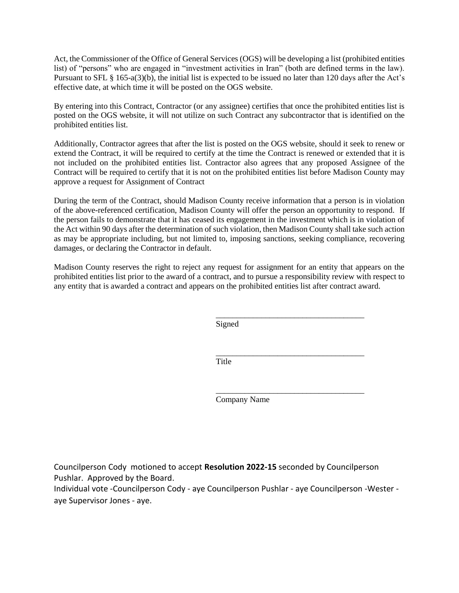Act, the Commissioner of the Office of General Services (OGS) will be developing a list (prohibited entities list) of "persons" who are engaged in "investment activities in Iran" (both are defined terms in the law). Pursuant to SFL § 165-a(3)(b), the initial list is expected to be issued no later than 120 days after the Act's effective date, at which time it will be posted on the OGS website.

By entering into this Contract, Contractor (or any assignee) certifies that once the prohibited entities list is posted on the OGS website, it will not utilize on such Contract any subcontractor that is identified on the prohibited entities list.

Additionally, Contractor agrees that after the list is posted on the OGS website, should it seek to renew or extend the Contract, it will be required to certify at the time the Contract is renewed or extended that it is not included on the prohibited entities list. Contractor also agrees that any proposed Assignee of the Contract will be required to certify that it is not on the prohibited entities list before Madison County may approve a request for Assignment of Contract

During the term of the Contract, should Madison County receive information that a person is in violation of the above-referenced certification, Madison County will offer the person an opportunity to respond. If the person fails to demonstrate that it has ceased its engagement in the investment which is in violation of the Act within 90 days after the determination of such violation, then Madison County shall take such action as may be appropriate including, but not limited to, imposing sanctions, seeking compliance, recovering damages, or declaring the Contractor in default.

Madison County reserves the right to reject any request for assignment for an entity that appears on the prohibited entities list prior to the award of a contract, and to pursue a responsibility review with respect to any entity that is awarded a contract and appears on the prohibited entities list after contract award.

Signed

\_\_\_\_\_\_\_\_\_\_\_\_\_\_\_\_\_\_\_\_\_\_\_\_\_\_\_\_\_\_\_\_\_\_\_\_ Title

Company Name

\_\_\_\_\_\_\_\_\_\_\_\_\_\_\_\_\_\_\_\_\_\_\_\_\_\_\_\_\_\_\_\_\_\_\_\_

\_\_\_\_\_\_\_\_\_\_\_\_\_\_\_\_\_\_\_\_\_\_\_\_\_\_\_\_\_\_\_\_\_\_\_\_

Councilperson Cody motioned to accept **Resolution 2022-15** seconded by Councilperson Pushlar. Approved by the Board.

Individual vote -Councilperson Cody - aye Councilperson Pushlar - aye Councilperson -Wester aye Supervisor Jones - aye.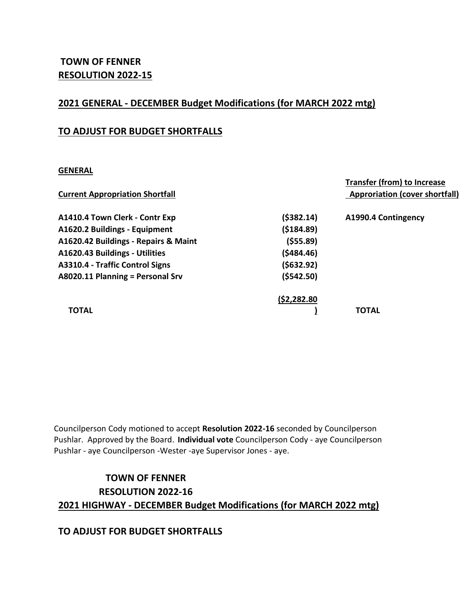# **TOWN OF FENNER RESOLUTION 2022-15**

# **2021 GENERAL - DECEMBER Budget Modifications (for MARCH 2022 mtg)**

# **TO ADJUST FOR BUDGET SHORTFALLS**

# **GENERAL**

|                                        |              | <b>Transfer (from) to Increase</b>    |
|----------------------------------------|--------------|---------------------------------------|
| <b>Current Appropriation Shortfall</b> |              | <b>Approriation (cover shortfall)</b> |
| A1410.4 Town Clerk - Contr Exp         | ( \$382.14)  | A1990.4 Contingency                   |
| A1620.2 Buildings - Equipment          | ( \$184.89)  |                                       |
| A1620.42 Buildings - Repairs & Maint   | ( \$55.89)   |                                       |
| A1620.43 Buildings - Utilities         | (5484.46)    |                                       |
| A3310.4 - Traffic Control Signs        | (5632.92)    |                                       |
| A8020.11 Planning = Personal Srv       | (5542.50)    |                                       |
|                                        | (52, 282.80) |                                       |
| <b>TOTAL</b>                           |              | <b>TOTAL</b>                          |

Councilperson Cody motioned to accept **Resolution 2022-16** seconded by Councilperson Pushlar. Approved by the Board. **Individual vote** Councilperson Cody - aye Councilperson Pushlar - aye Councilperson -Wester -aye Supervisor Jones - aye.

# **TOWN OF FENNER RESOLUTION 2022-16 2021 HIGHWAY - DECEMBER Budget Modifications (for MARCH 2022 mtg)**

# **TO ADJUST FOR BUDGET SHORTFALLS**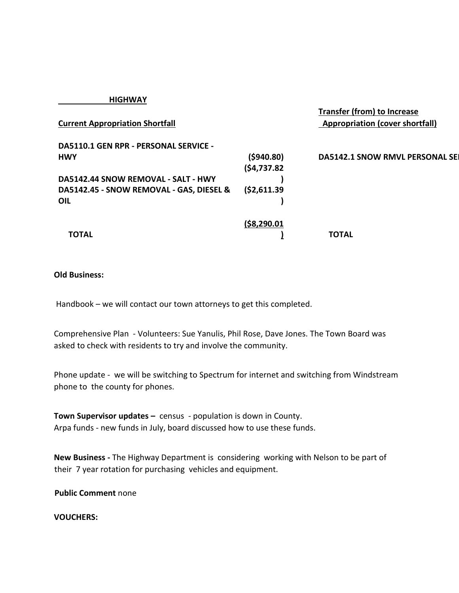| <b>NUNVAI</b>                                |                |                                                                              |
|----------------------------------------------|----------------|------------------------------------------------------------------------------|
| <b>Current Appropriation Shortfall</b>       |                | <b>Transfer (from) to Increase</b><br><b>Appropriation (cover shortfall)</b> |
| <b>DA5110.1 GEN RPR - PERSONAL SERVICE -</b> |                |                                                                              |
| <b>HWY</b>                                   | (5940.80)      | <b>DA5142.1 SNOW RMVL PERSONAL SEI</b>                                       |
|                                              | (54, 737.82)   |                                                                              |
| DA5142.44 SNOW REMOVAL - SALT - HWY          |                |                                                                              |
| DA5142.45 - SNOW REMOVAL - GAS, DIESEL &     | ( \$2,611.39]  |                                                                              |
| OIL                                          |                |                                                                              |
|                                              |                |                                                                              |
|                                              | ( \$8, 290.01] |                                                                              |
| ΤΟΤΑL                                        |                | <b>TOTAL</b>                                                                 |

### **Old Business:**

 **HIGHWAY**

Handbook – we will contact our town attorneys to get this completed.

Comprehensive Plan - Volunteers: Sue Yanulis, Phil Rose, Dave Jones. The Town Board was asked to check with residents to try and involve the community.

Phone update - we will be switching to Spectrum for internet and switching from Windstream phone to the county for phones.

**Town Supervisor updates –** census - population is down in County. Arpa funds - new funds in July, board discussed how to use these funds.

**New Business -** The Highway Department is considering working with Nelson to be part of their 7 year rotation for purchasing vehicles and equipment.

**Public Comment** none

**VOUCHERS:**